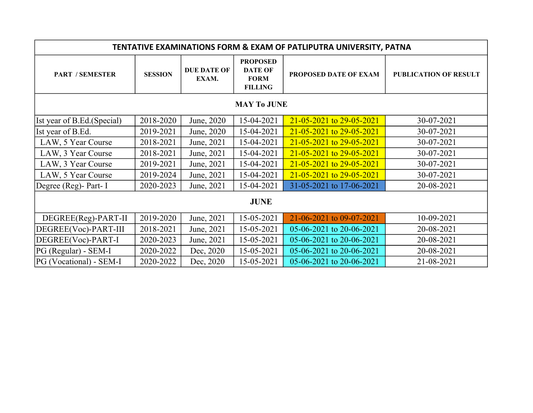| <b>TENTATIVE EXAMINATIONS FORM &amp; EXAM OF PATLIPUTRA UNIVERSITY, PATNA</b> |                |                             |                                                                    |                                |                       |  |  |  |  |
|-------------------------------------------------------------------------------|----------------|-----------------------------|--------------------------------------------------------------------|--------------------------------|-----------------------|--|--|--|--|
| <b>PART / SEMESTER</b>                                                        | <b>SESSION</b> | <b>DUE DATE OF</b><br>EXAM. | <b>PROPOSED</b><br><b>DATE OF</b><br><b>FORM</b><br><b>FILLING</b> | <b>PROPOSED DATE OF EXAM</b>   | PUBLICATION OF RESULT |  |  |  |  |
| <b>MAY To JUNE</b>                                                            |                |                             |                                                                    |                                |                       |  |  |  |  |
| Ist year of B.Ed. (Special)                                                   | 2018-2020      | June, 2020                  | 15-04-2021                                                         | $21 - 05 - 2021$ to 29-05-2021 | 30-07-2021            |  |  |  |  |
| Ist year of B.Ed.                                                             | 2019-2021      | June, 2020                  | 15-04-2021                                                         | $21 - 05 - 2021$ to 29-05-2021 | 30-07-2021            |  |  |  |  |
| LAW, 5 Year Course                                                            | 2018-2021      | June, 2021                  | 15-04-2021                                                         | $21 - 05 - 2021$ to 29-05-2021 | 30-07-2021            |  |  |  |  |
| LAW, 3 Year Course                                                            | 2018-2021      | June, 2021                  | 15-04-2021                                                         | $21 - 05 - 2021$ to 29-05-2021 | 30-07-2021            |  |  |  |  |
| LAW, 3 Year Course                                                            | 2019-2021      | June, 2021                  | 15-04-2021                                                         | $21 - 05 - 2021$ to 29-05-2021 | 30-07-2021            |  |  |  |  |
| LAW, 5 Year Course                                                            | 2019-2024      | June, 2021                  | 15-04-2021                                                         | $21 - 05 - 2021$ to 29-05-2021 | 30-07-2021            |  |  |  |  |
| Degree (Reg)- Part- I                                                         | 2020-2023      | June, 2021                  | 15-04-2021                                                         | 31-05-2021 to 17-06-2021       | 20-08-2021            |  |  |  |  |
| <b>JUNE</b>                                                                   |                |                             |                                                                    |                                |                       |  |  |  |  |
| DEGREE(Reg)-PART-II                                                           | 2019-2020      | June, 2021                  | 15-05-2021                                                         | 21-06-2021 to 09-07-2021       | 10-09-2021            |  |  |  |  |
| DEGREE(Voc)-PART-III                                                          | 2018-2021      | June, 2021                  | 15-05-2021                                                         | 05-06-2021 to 20-06-2021       | 20-08-2021            |  |  |  |  |
| DEGREE(Voc)-PART-I                                                            | 2020-2023      | June, 2021                  | 15-05-2021                                                         | 05-06-2021 to 20-06-2021       | 20-08-2021            |  |  |  |  |
| $PG$ (Regular) - SEM-I                                                        | 2020-2022      | Dec, 2020                   | 15-05-2021                                                         | 05-06-2021 to 20-06-2021       | 20-08-2021            |  |  |  |  |
| PG (Vocational) - SEM-I                                                       | 2020-2022      | Dec, 2020                   | 15-05-2021                                                         | 05-06-2021 to 20-06-2021       | 21-08-2021            |  |  |  |  |